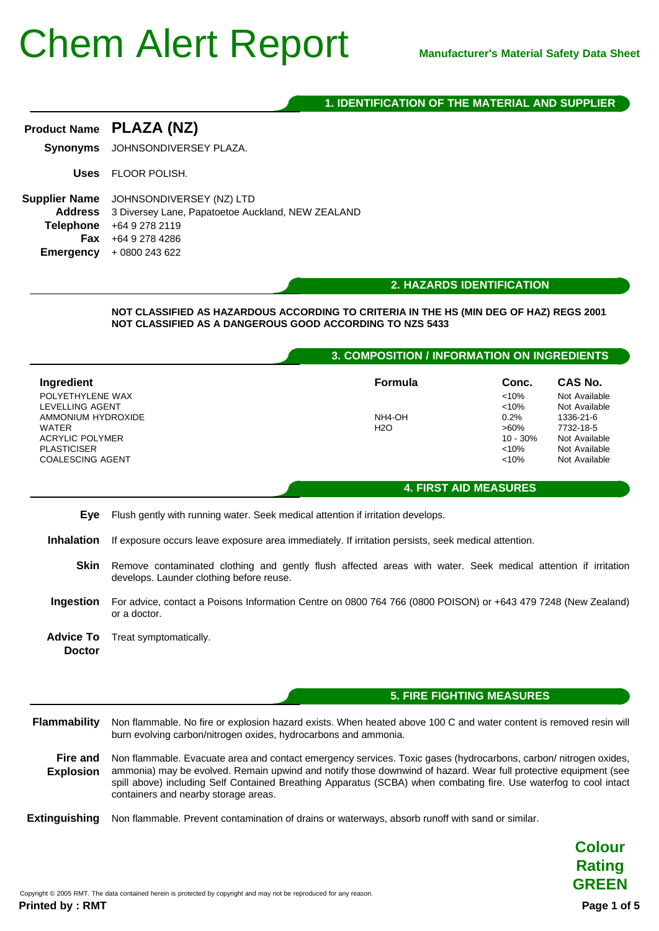### **1. IDENTIFICATION OF THE MATERIAL AND SUPPLIER**

| <b>Product Name</b>                                                     | PLAZA (NZ)                                                                                                                                         |                                             |                       |                                                                  |
|-------------------------------------------------------------------------|----------------------------------------------------------------------------------------------------------------------------------------------------|---------------------------------------------|-----------------------|------------------------------------------------------------------|
| <b>Synonyms</b>                                                         | JOHNSONDIVERSEY PLAZA.                                                                                                                             |                                             |                       |                                                                  |
| <b>Uses</b>                                                             | <b>FLOOR POLISH.</b>                                                                                                                               |                                             |                       |                                                                  |
| <b>Supplier Name</b><br><b>Address</b><br><b>Telephone</b><br>Emergency | JOHNSONDIVERSEY (NZ) LTD<br>3 Diversey Lane, Papatoetoe Auckland, NEW ZEALAND<br>+64 9 278 2119<br>Fax +64 9 278 4286<br>+0800 243 622             |                                             |                       |                                                                  |
|                                                                         |                                                                                                                                                    |                                             |                       |                                                                  |
|                                                                         |                                                                                                                                                    | 2. HAZARDS IDENTIFICATION                   |                       |                                                                  |
|                                                                         | NOT CLASSIFIED AS HAZARDOUS ACCORDING TO CRITERIA IN THE HS (MIN DEG OF HAZ) REGS 2001<br>NOT CLASSIFIED AS A DANGEROUS GOOD ACCORDING TO NZS 5433 | 3. COMPOSITION / INFORMATION ON INGREDIENTS |                       |                                                                  |
|                                                                         |                                                                                                                                                    | Formula                                     | Conc.                 | CAS No.                                                          |
| Ingredient<br>POLYETHYLENE WAX                                          |                                                                                                                                                    |                                             | < 10%                 |                                                                  |
| LEVELLING AGENT                                                         |                                                                                                                                                    |                                             | < 10%                 |                                                                  |
| AMMONIUM HYDROXIDE                                                      |                                                                                                                                                    | NH4-OH                                      | 0.2%                  | 1336-21-6                                                        |
| <b>WATER</b><br><b>ACRYLIC POLYMER</b>                                  |                                                                                                                                                    | <b>H2O</b>                                  | $>60\%$<br>$10 - 30%$ | 7732-18-5                                                        |
| <b>PLASTICISER</b>                                                      |                                                                                                                                                    |                                             | < 10%                 | Not Available<br>Not Available<br>Not Available<br>Not Available |
| <b>COALESCING AGENT</b>                                                 |                                                                                                                                                    |                                             | < 10%                 | Not Available                                                    |

- Skin Remove contaminated clothing and gently flush affected areas with water. Seek medical attention if irritation develops. Launder clothing before reuse.
- **Ingestion** For advice, contact a Poisons Information Centre on 0800 764 766 (0800 POISON) or +643 479 7248 (New Zealand) or a doctor.
- **Advice To Doctor** Treat symptomatically.

**5. FIRE FIGHTING MEASURES**

- **Flammability** Non flammable. No fire or explosion hazard exists. When heated above 100 C and water content is removed resin will burn evolving carbon/nitrogen oxides, hydrocarbons and ammonia.
- **Fire and Explosion** Non flammable. Evacuate area and contact emergency services. Toxic gases (hydrocarbons, carbon/ nitrogen oxides, ammonia) may be evolved. Remain upwind and notify those downwind of hazard. Wear full protective equipment (see spill above) including Self Contained Breathing Apparatus (SCBA) when combating fire. Use waterfog to cool intact containers and nearby storage areas.

**Extinguishing** Non flammable. Prevent contamination of drains or waterways, absorb runoff with sand or similar.

**Colour Rating GREEN**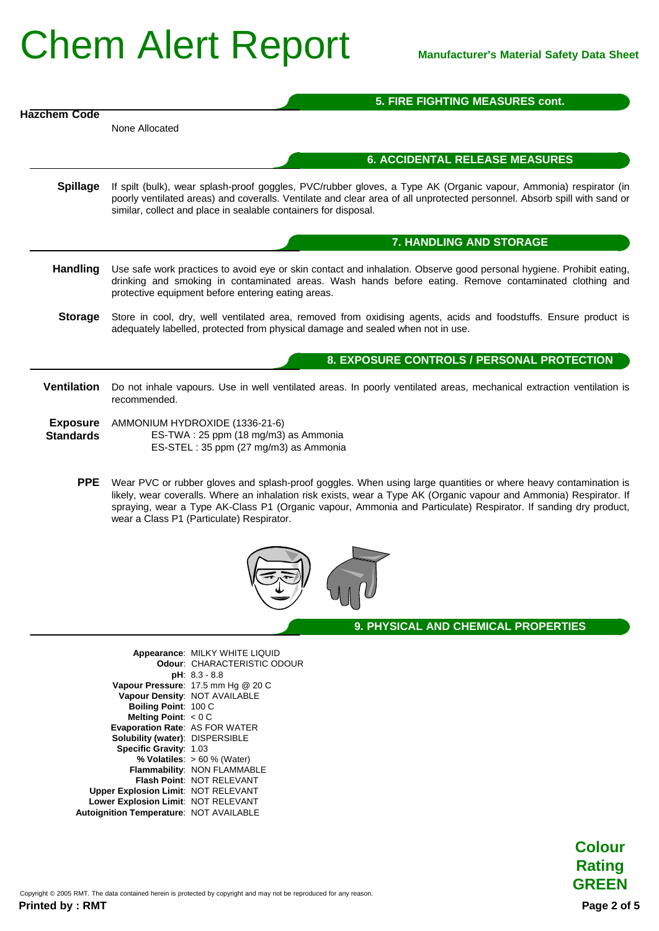|                                     | <b>5. FIRE FIGHTING MEASURES cont.</b>                                                                                                                                                                                                                                                                                                                                                                 |  |
|-------------------------------------|--------------------------------------------------------------------------------------------------------------------------------------------------------------------------------------------------------------------------------------------------------------------------------------------------------------------------------------------------------------------------------------------------------|--|
| Hazchem Code                        |                                                                                                                                                                                                                                                                                                                                                                                                        |  |
|                                     | None Allocated                                                                                                                                                                                                                                                                                                                                                                                         |  |
|                                     | <b>6. ACCIDENTAL RELEASE MEASURES</b>                                                                                                                                                                                                                                                                                                                                                                  |  |
| <b>Spillage</b>                     | If spilt (bulk), wear splash-proof goggles, PVC/rubber gloves, a Type AK (Organic vapour, Ammonia) respirator (in<br>poorly ventilated areas) and coveralls. Ventilate and clear area of all unprotected personnel. Absorb spill with sand or<br>similar, collect and place in sealable containers for disposal.                                                                                       |  |
|                                     | 7. HANDLING AND STORAGE                                                                                                                                                                                                                                                                                                                                                                                |  |
| <b>Handling</b>                     | Use safe work practices to avoid eye or skin contact and inhalation. Observe good personal hygiene. Prohibit eating,<br>drinking and smoking in contaminated areas. Wash hands before eating. Remove contaminated clothing and<br>protective equipment before entering eating areas.                                                                                                                   |  |
| <b>Storage</b>                      | Store in cool, dry, well ventilated area, removed from oxidising agents, acids and foodstuffs. Ensure product is<br>adequately labelled, protected from physical damage and sealed when not in use.                                                                                                                                                                                                    |  |
|                                     | 8. EXPOSURE CONTROLS / PERSONAL PROTECTION                                                                                                                                                                                                                                                                                                                                                             |  |
| <b>Ventilation</b>                  | Do not inhale vapours. Use in well ventilated areas. In poorly ventilated areas, mechanical extraction ventilation is<br>recommended.                                                                                                                                                                                                                                                                  |  |
| <b>Exposure</b><br><b>Standards</b> | AMMONIUM HYDROXIDE (1336-21-6)<br>ES-TWA: 25 ppm (18 mg/m3) as Ammonia<br>ES-STEL: 35 ppm (27 mg/m3) as Ammonia                                                                                                                                                                                                                                                                                        |  |
| <b>PPE</b>                          | Wear PVC or rubber gloves and splash-proof goggles. When using large quantities or where heavy contamination is<br>likely, wear coveralls. Where an inhalation risk exists, wear a Type AK (Organic vapour and Ammonia) Respirator. If<br>spraying, wear a Type AK-Class P1 (Organic vapour, Ammonia and Particulate) Respirator. If sanding dry product,<br>wear a Class P1 (Particulate) Respirator. |  |



**9. PHYSICAL AND CHEMICAL PROPERTIES**

|                                                | Appearance: MILKY WHITE LIQUID<br>Odour: CHARACTERISTIC ODOUR |
|------------------------------------------------|---------------------------------------------------------------|
|                                                | $pH: 8.3 - 8.8$                                               |
|                                                | Vapour Pressure: 17.5 mm Hg @ 20 C                            |
|                                                | Vapour Density: NOT AVAILABLE                                 |
| Boiling Point: 100 C                           |                                                               |
| Melting Point: $< 0 C$                         |                                                               |
| <b>Evaporation Rate: AS FOR WATER</b>          |                                                               |
| <b>Solubility (water): DISPERSIBLE</b>         |                                                               |
| Specific Gravity: 1.03                         |                                                               |
|                                                | % Volatiles: $> 60$ % (Water)                                 |
|                                                | Flammability: NON FLAMMABLE                                   |
|                                                | Flash Point: NOT RELEVANT                                     |
| <b>Upper Explosion Limit: NOT RELEVANT</b>     |                                                               |
| Lower Explosion Limit: NOT RELEVANT            |                                                               |
| <b>Autoignition Temperature: NOT AVAILABLE</b> |                                                               |
|                                                |                                                               |

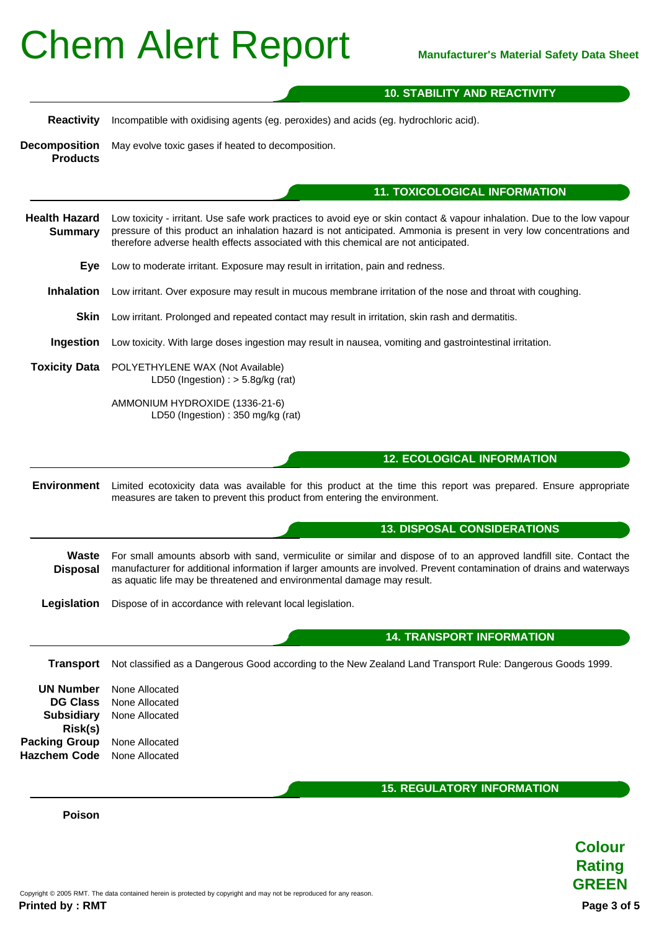#### **10. STABILITY AND REACTIVITY**

**Reactivity** Incompatible with oxidising agents (eg. peroxides) and acids (eg. hydrochloric acid).

**Decomposition Products** May evolve toxic gases if heated to decomposition.

#### **11. TOXICOLOGICAL INFORMATION**

- **Health Hazard Summary** Low toxicity - irritant. Use safe work practices to avoid eye or skin contact & vapour inhalation. Due to the low vapour pressure of this product an inhalation hazard is not anticipated. Ammonia is present in very low concentrations and therefore adverse health effects associated with this chemical are not anticipated.
	- **Eye** Low to moderate irritant. Exposure may result in irritation, pain and redness.
	- **Inhalation** Low irritant. Over exposure may result in mucous membrane irritation of the nose and throat with coughing.
	- **Skin** Low irritant. Prolonged and repeated contact may result in irritation, skin rash and dermatitis.
	- **Ingestion** Low toxicity. With large doses ingestion may result in nausea, vomiting and gastrointestinal irritation.
- **Toxicity Data** POLYETHYLENE WAX (Not Available) LD50 (Ingestion) :  $>$  5.8g/kg (rat)
	- AMMONIUM HYDROXIDE (1336-21-6) LD50 (Ingestion) : 350 mg/kg (rat)

#### **12. ECOLOGICAL INFORMATION**

**Environment** Limited ecotoxicity data was available for this product at the time this report was prepared. Ensure appropriate measures are taken to prevent this product from entering the environment.

#### **13. DISPOSAL CONSIDERATIONS**

**Waste Disposal** For small amounts absorb with sand, vermiculite or similar and dispose of to an approved landfill site. Contact the manufacturer for additional information if larger amounts are involved. Prevent contamination of drains and waterways as aquatic life may be threatened and environmental damage may result.

**Legislation** Dispose of in accordance with relevant local legislation.

**14. TRANSPORT INFORMATION**

**Transport** Not classified as a Dangerous Good according to the New Zealand Land Transport Rule: Dangerous Goods 1999. **UN Number** None Allocated **DG Class** None Allocated **Subsidiary Risk(s)** None Allocated **Packing Group** None Allocated **Hazchem Code** None Allocated **15. REGULATORY INFORMATION**

**Poison**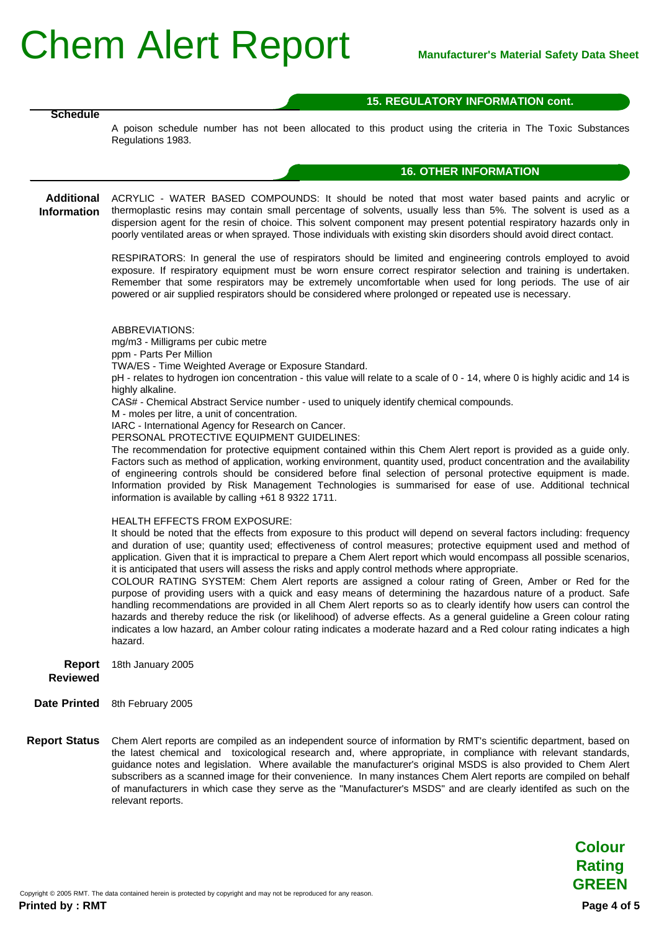#### **15. REGULATORY INFORMATION cont.**

**Schedule**

A poison schedule number has not been allocated to this product using the criteria in The Toxic Substances Regulations 1983.

#### **16. OTHER INFORMATION**

**Additional** ACRYLIC - WATER BASED COMPOUNDS: It should be noted that most water based paints and acrylic or **Information** thermoplastic resins may contain small percentage of solvents, usually less than 5%. The solvent is used as a dispersion agent for the resin of choice. This solvent component may present potential respiratory hazards only in poorly ventilated areas or when sprayed. Those individuals with existing skin disorders should avoid direct contact.

> RESPIRATORS: In general the use of respirators should be limited and engineering controls employed to avoid exposure. If respiratory equipment must be worn ensure correct respirator selection and training is undertaken. Remember that some respirators may be extremely uncomfortable when used for long periods. The use of air powered or air supplied respirators should be considered where prolonged or repeated use is necessary.

ABBREVIATIONS:

mg/m3 - Milligrams per cubic metre

ppm - Parts Per Million

TWA/ES - Time Weighted Average or Exposure Standard.

pH - relates to hydrogen ion concentration - this value will relate to a scale of 0 - 14, where 0 is highly acidic and 14 is highly alkaline.

CAS# - Chemical Abstract Service number - used to uniquely identify chemical compounds.

M - moles per litre, a unit of concentration.

IARC - International Agency for Research on Cancer.

PERSONAL PROTECTIVE EQUIPMENT GUIDELINES:

The recommendation for protective equipment contained within this Chem Alert report is provided as a guide only. Factors such as method of application, working environment, quantity used, product concentration and the availability of engineering controls should be considered before final selection of personal protective equipment is made. Information provided by Risk Management Technologies is summarised for ease of use. Additional technical information is available by calling +61 8 9322 1711.

#### HEALTH EFFECTS FROM EXPOSURE:

It should be noted that the effects from exposure to this product will depend on several factors including: frequency and duration of use; quantity used; effectiveness of control measures; protective equipment used and method of application. Given that it is impractical to prepare a Chem Alert report which would encompass all possible scenarios, it is anticipated that users will assess the risks and apply control methods where appropriate.

COLOUR RATING SYSTEM: Chem Alert reports are assigned a colour rating of Green, Amber or Red for the purpose of providing users with a quick and easy means of determining the hazardous nature of a product. Safe handling recommendations are provided in all Chem Alert reports so as to clearly identify how users can control the hazards and thereby reduce the risk (or likelihood) of adverse effects. As a general guideline a Green colour rating indicates a low hazard, an Amber colour rating indicates a moderate hazard and a Red colour rating indicates a high hazard.

**Report** 18th January 2005

**Reviewed**

- **Date Printed** 8th February 2005
- **Report Status** Chem Alert reports are compiled as an independent source of information by RMT's scientific department, based on the latest chemical and toxicological research and, where appropriate, in compliance with relevant standards, guidance notes and legislation. Where available the manufacturer's original MSDS is also provided to Chem Alert subscribers as a scanned image for their convenience. In many instances Chem Alert reports are compiled on behalf of manufacturers in which case they serve as the "Manufacturer's MSDS" and are clearly identifed as such on the relevant reports.